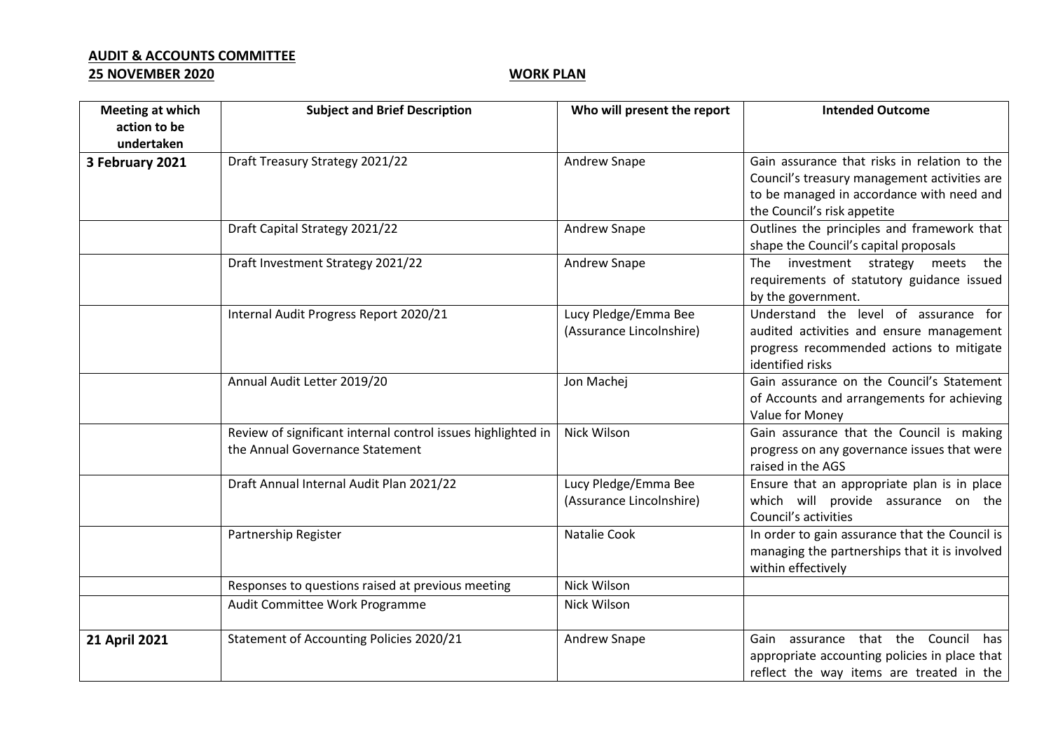## **AUDIT & ACCOUNTS COMMITTEE 25 NOVEMBER 2020 WORK PLAN**

| Meeting at which<br>action to be | <b>Subject and Brief Description</b>                                                            | Who will present the report                      | <b>Intended Outcome</b>                                                                                                                                                  |
|----------------------------------|-------------------------------------------------------------------------------------------------|--------------------------------------------------|--------------------------------------------------------------------------------------------------------------------------------------------------------------------------|
| undertaken                       |                                                                                                 |                                                  |                                                                                                                                                                          |
| 3 February 2021                  | Draft Treasury Strategy 2021/22                                                                 | <b>Andrew Snape</b>                              | Gain assurance that risks in relation to the<br>Council's treasury management activities are<br>to be managed in accordance with need and<br>the Council's risk appetite |
|                                  | Draft Capital Strategy 2021/22                                                                  | Andrew Snape                                     | Outlines the principles and framework that<br>shape the Council's capital proposals                                                                                      |
|                                  | Draft Investment Strategy 2021/22                                                               | Andrew Snape                                     | the<br>The investment strategy<br>meets<br>requirements of statutory guidance issued<br>by the government.                                                               |
|                                  | Internal Audit Progress Report 2020/21                                                          | Lucy Pledge/Emma Bee<br>(Assurance Lincolnshire) | Understand the level of assurance for<br>audited activities and ensure management<br>progress recommended actions to mitigate<br>identified risks                        |
|                                  | Annual Audit Letter 2019/20                                                                     | Jon Machej                                       | Gain assurance on the Council's Statement<br>of Accounts and arrangements for achieving<br>Value for Money                                                               |
|                                  | Review of significant internal control issues highlighted in<br>the Annual Governance Statement | Nick Wilson                                      | Gain assurance that the Council is making<br>progress on any governance issues that were<br>raised in the AGS                                                            |
|                                  | Draft Annual Internal Audit Plan 2021/22                                                        | Lucy Pledge/Emma Bee<br>(Assurance Lincolnshire) | Ensure that an appropriate plan is in place<br>which will provide assurance on the<br>Council's activities                                                               |
|                                  | Partnership Register                                                                            | <b>Natalie Cook</b>                              | In order to gain assurance that the Council is<br>managing the partnerships that it is involved<br>within effectively                                                    |
|                                  | Responses to questions raised at previous meeting                                               | Nick Wilson                                      |                                                                                                                                                                          |
|                                  | Audit Committee Work Programme                                                                  | Nick Wilson                                      |                                                                                                                                                                          |
| 21 April 2021                    | Statement of Accounting Policies 2020/21                                                        | Andrew Snape                                     | Gain assurance that the Council<br>has<br>appropriate accounting policies in place that<br>reflect the way items are treated in the                                      |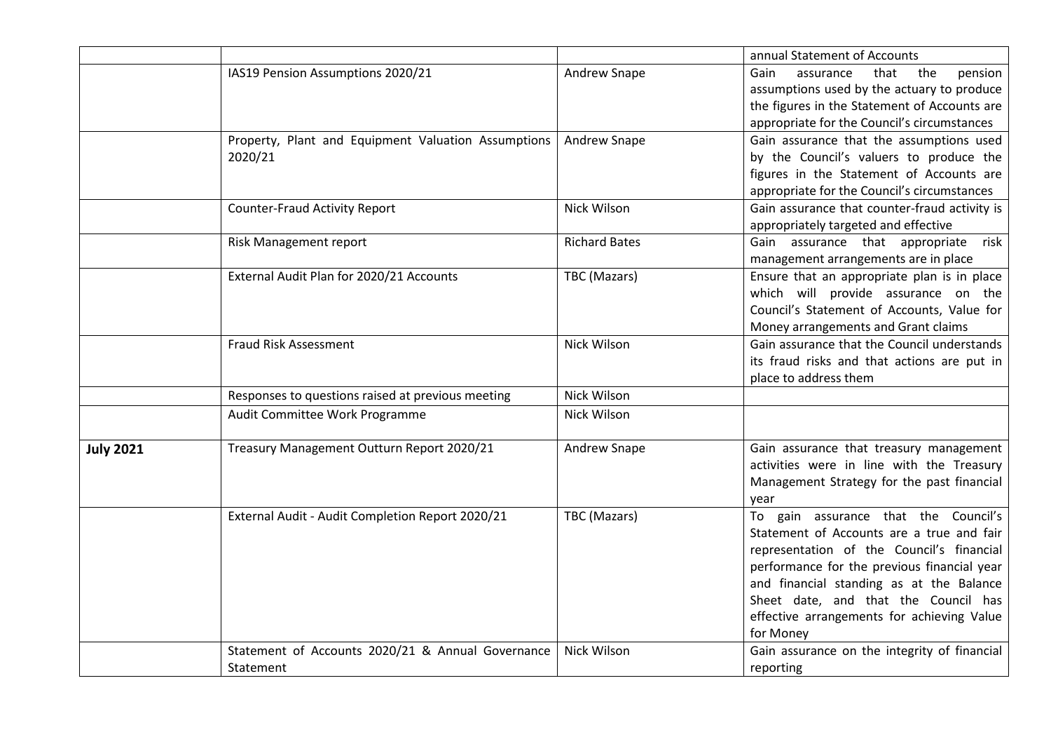|                  |                                                                |                      | annual Statement of Accounts                                                                                                                                                                                                                                                                                                 |
|------------------|----------------------------------------------------------------|----------------------|------------------------------------------------------------------------------------------------------------------------------------------------------------------------------------------------------------------------------------------------------------------------------------------------------------------------------|
|                  | IAS19 Pension Assumptions 2020/21                              | Andrew Snape         | that<br>the<br>pension<br>Gain<br>assurance<br>assumptions used by the actuary to produce<br>the figures in the Statement of Accounts are<br>appropriate for the Council's circumstances                                                                                                                                     |
|                  | Property, Plant and Equipment Valuation Assumptions<br>2020/21 | Andrew Snape         | Gain assurance that the assumptions used<br>by the Council's valuers to produce the<br>figures in the Statement of Accounts are<br>appropriate for the Council's circumstances                                                                                                                                               |
|                  | <b>Counter-Fraud Activity Report</b>                           | Nick Wilson          | Gain assurance that counter-fraud activity is<br>appropriately targeted and effective                                                                                                                                                                                                                                        |
|                  | Risk Management report                                         | <b>Richard Bates</b> | Gain assurance that appropriate<br>risk<br>management arrangements are in place                                                                                                                                                                                                                                              |
|                  | External Audit Plan for 2020/21 Accounts                       | TBC (Mazars)         | Ensure that an appropriate plan is in place<br>which will provide assurance on the<br>Council's Statement of Accounts, Value for<br>Money arrangements and Grant claims                                                                                                                                                      |
|                  | <b>Fraud Risk Assessment</b>                                   | Nick Wilson          | Gain assurance that the Council understands<br>its fraud risks and that actions are put in<br>place to address them                                                                                                                                                                                                          |
|                  | Responses to questions raised at previous meeting              | Nick Wilson          |                                                                                                                                                                                                                                                                                                                              |
|                  | Audit Committee Work Programme                                 | Nick Wilson          |                                                                                                                                                                                                                                                                                                                              |
| <b>July 2021</b> | Treasury Management Outturn Report 2020/21                     | Andrew Snape         | Gain assurance that treasury management<br>activities were in line with the Treasury<br>Management Strategy for the past financial<br>year                                                                                                                                                                                   |
|                  | External Audit - Audit Completion Report 2020/21               | TBC (Mazars)         | To gain assurance that the Council's<br>Statement of Accounts are a true and fair<br>representation of the Council's financial<br>performance for the previous financial year<br>and financial standing as at the Balance<br>Sheet date, and that the Council has<br>effective arrangements for achieving Value<br>for Money |
|                  | Statement of Accounts 2020/21 & Annual Governance<br>Statement | Nick Wilson          | Gain assurance on the integrity of financial<br>reporting                                                                                                                                                                                                                                                                    |
|                  |                                                                |                      |                                                                                                                                                                                                                                                                                                                              |